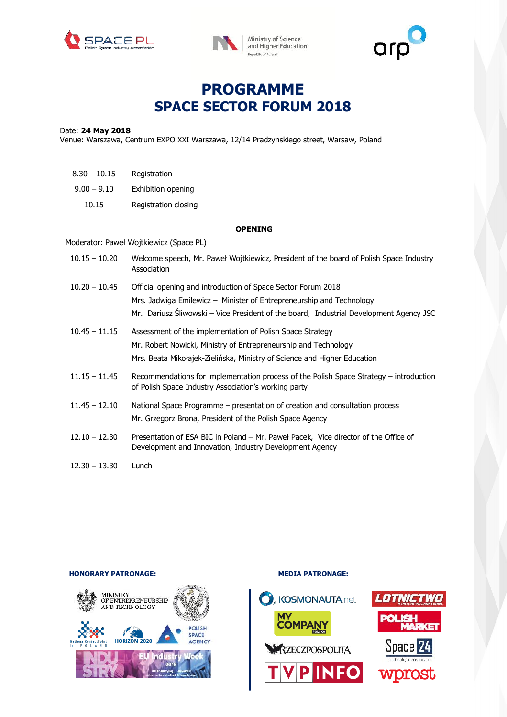





# **PROGRAMME SPACE SECTOR FORUM 2018**

#### Date: **24 May 2018**

Venue: Warszawa, Centrum EXPO XXI Warszawa, 12/14 Pradzynskiego street, Warsaw, Poland

| 8.30 – 10.15  | Registration         |
|---------------|----------------------|
| $9.00 - 9.10$ | Exhibition opening   |
| 10.15         | Registration closing |

#### **OPENING**

#### Moderator: Paweł Wojtkiewicz (Space PL)

| $10.15 - 10.20$ | Welcome speech, Mr. Paweł Wojtkiewicz, President of the board of Polish Space Industry<br>Association                                                                                                                          |
|-----------------|--------------------------------------------------------------------------------------------------------------------------------------------------------------------------------------------------------------------------------|
| $10.20 - 10.45$ | Official opening and introduction of Space Sector Forum 2018<br>Mrs. Jadwiga Emilewicz – Minister of Entrepreneurship and Technology<br>Mr. Dariusz Śliwowski – Vice President of the board, Industrial Development Agency JSC |
| $10.45 - 11.15$ | Assessment of the implementation of Polish Space Strategy<br>Mr. Robert Nowicki, Ministry of Entrepreneurship and Technology<br>Mrs. Beata Mikołajek-Zielińska, Ministry of Science and Higher Education                       |
| $11.15 - 11.45$ | Recommendations for implementation process of the Polish Space Strategy – introduction<br>of Polish Space Industry Association's working party                                                                                 |
| $11.45 - 12.10$ | National Space Programme – presentation of creation and consultation process<br>Mr. Grzegorz Brona, President of the Polish Space Agency                                                                                       |
| $12.10 - 12.30$ | Presentation of ESA BIC in Poland – Mr. Paweł Pacek, Vice director of the Office of<br>Development and Innovation, Industry Development Agency                                                                                 |
| $12.30 - 13.30$ | Lunch                                                                                                                                                                                                                          |

## MINISTRY<br>OF ENTREPRENEURSHIP<br>AND TECHNOLOGY POLISH **SPACE HORIZON 2020 AGENCY** Natio EU Indu

# **HONORARY PATRONAGE:** MEDIA PATRONAGE: